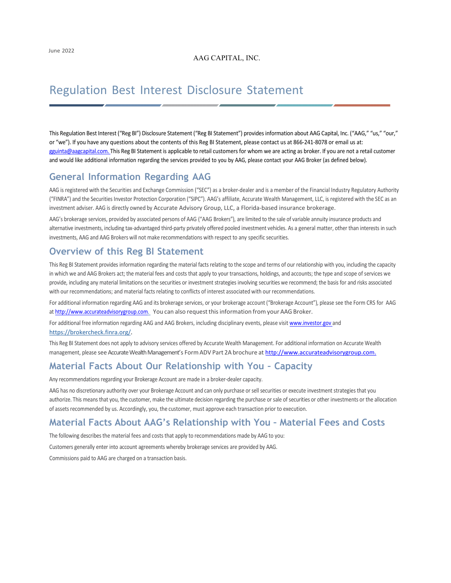#### AAG CAPITAL, INC.

# Regulation Best Interest Disclosure Statement

This Regulation Best Interest ("Reg BI") Disclosure Statement ("Reg BI Statement") provides information about AAG Capital, Inc. ("AAG," "us," "our," or "we"). If you have any questions about the contents of this Reg BI Statement, please contact us at 866-241-8078 or email us at: [gguinta@aagcapital.com. T](mailto:gguinta@aagcapital.com.)his Reg BI Statement is applicable to retail customers for whom we are acting as broker. If you are not a retail customer and would like additional information regarding the services provided to you by AAG, please contact your AAG Broker (as defined below).

### **General Information Regarding AAG**

AAG is registered with the Securities and Exchange Commission ("SEC") as a broker-dealer and is a member of the Financial Industry Regulatory Authority ("FINRA") and the Securities Investor Protection Corporation ("SIPC"). AAG's affiliate, Accurate Wealth Management, LLC, is registered with the SEC as an investment adviser. AAG is directly owned by Accurate Advisory Group, LLC, a Florida-based insurance brokerage.

AAG's brokerage services, provided by associated persons of AAG ("AAG Brokers"), are limited to the sale of variable annuity insurance products and alternative investments, including tax-advantaged third-party privately offered pooled investment vehicles. As a general matter, other than interests in such investments, AAG and AAG Brokers will not make recommendations with respect to any specific securities.

#### **Overview of this Reg BI Statement**

This Reg BI Statement provides information regarding the material facts relating to the scope and terms of our relationship with you, including the capacity in which we and AAG Brokers act; the material fees and costs that apply to your transactions, holdings, and accounts; the type and scope of services we provide, including any material limitations on the securities or investment strategies involving securities we recommend; the basis for and risks associated with our recommendations; and material facts relating to conflicts of interest associated with our recommendations.

For additional information regarding AAG and its brokerage services, or your brokerage account ("Brokerage Account"), please see the Form CRS for AAG at [http://www.accurateadvisorygroup.com.](http://www.accurateadvisorygroup.com/) You can also request this information from your AAG Broker.

For additional free information regarding AAG and AAG Brokers, including disciplinary events, please visit www.investor.gov and https://brokercheck.finra.org/.

This Reg BI Statement does not apply to advisory services offered by Accurate Wealth Management. For additional information on Accurate Wealth management, please see Accurate Wealth Management's Form ADV Part 2A brochure at [http://www.accurateadvisorygroup.com.](http://www.accurateadvisorygroup.com./)

### **Material Facts About Our Relationship with You – Capacity**

Any recommendations regarding your Brokerage Account are made in a broker-dealer capacity.

AAG has no discretionary authority over your Brokerage Account and can only purchase or sell securities or execute investment strategies that you authorize. This means that you, the customer, make the ultimate decision regarding the purchase or sale of securities or other investments or the allocation of assets recommended by us. Accordingly, you, the customer, must approve each transaction prior to execution.

## **Material Facts About AAG's Relationship with You – Material Fees and Costs**

The following describes the material fees and costs that apply to recommendations made by AAG to you:

Customers generally enter into account agreements whereby brokerage services are provided by AAG.

Commissions paid to AAG are charged on a transaction basis.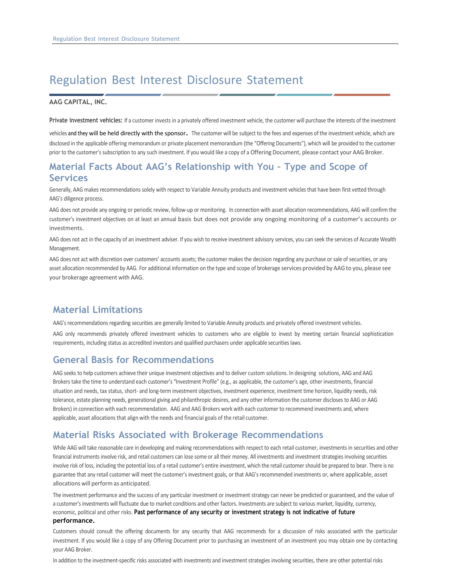# Regulation Best Interest Disclosure Statement

#### **AAG CAPITAL, INC.**

**Private investment vehicles:** If a customer invests in a privately offered investment vehicle, the customer will purchase the interests of the investment

vehicles and they will be held directly with the sponsor. The customer will be subject to the fees and expenses of the investment vehicle, which are disclosed in the applicable offering memorandum or private placement memorandum (the "Offering Documents"), which will be provided to the customer prior to the customer's subscription to any such investment. If you would like a copy of a Offering Document, please contact your AAG Broker.

### **Material Facts About AAG's Relationship with You – Type and Scope of Services**

Generally, AAG makes recommendations solely with respect to Variable Annuity products and investment vehicles that have been first vetted through AAG's diligence process.

AAG does not provide any ongoing or periodic review, follow-up or monitoring. In connection with asset allocation recommendations, AAG will confirm the customer's investment objectives on at least an annual basis but does not provide any ongoing monitoring of a customer's accounts or investments.

AAG does not act in the capacity of an investment adviser. If you wish to receive investment advisory services, you can seek the services of Accurate Wealth Management.

AAG does not act with discretion over customers' accounts assets; the customer makes the decision regarding any purchase or sale of securities, or any asset allocation recommended by AAG. For additional information on the type and scope of brokerage services provided by AAG to you, please see your brokerage agreement with AAG.

#### **Material Limitations**

AAG's recommendations regarding securities are generally limited to Variable Annuity products and privately offered investment vehicles.

AAG only recommends privately offered investment vehicles to customers who are eligible to invest by meeting certain financial sophistication requirements, including status as accredited investors and qualified purchasers under applicable securities laws.

#### **General Basis for Recommendations**

AAG seeks to help customers achieve their unique investment objectives and to deliver custom solutions. In designing solutions, AAG and AAG Brokers take the time to understand each customer's "Investment Profile" (e.g., as applicable, the customer's age, other investments, financial situation and needs, tax status, short- and long-term investment objectives, investment experience, investment time horizon, liquidity needs, risk tolerance, estate planning needs, generational giving and philanthropic desires, and any other information the customer discloses to AAG or AAG Brokers) in connection with each recommendation. AAG and AAG Brokers work with each customer to recommend investments and, where applicable, asset allocations that align with the needs and financial goals of the retail customer.

#### **Material Risks Associated with Brokerage Recommendations**

While AAG will take reasonable care in developing and making recommendations with respect to each retail customer, investments in securities and other financial instruments involve risk, and retail customers can lose some or all their money. All investments and investment strategies involving securities involve risk of loss, including the potential loss of a retail customer's entire investment, which the retail customer should be prepared to bear. There is no guarantee that any retail customer will meet the customer's investment goals, or that AAG's recommended investments or, where applicable, asset allocations will perform as anticipated.

The investment performance and the success of any particular investment or investment strategy can never be predicted or guaranteed, and the value of a customer's investments will fluctuate due to market conditions and other factors. Investments are subject to various market, liquidity, currency, economic, political and other risks. **Past performance of any security or investment strategy is not indicative of future performance.**

Customers should consult the offering documents for any security that AAG recommends for a discussion of risks associated with the particular investment. If you would like a copy of any Offering Document prior to purchasing an investment of an investment you may obtain one by contacting your AAG Broker.

In addition to the investment-specific risks associated with investments and investment strategies involving securities, there are other potential risks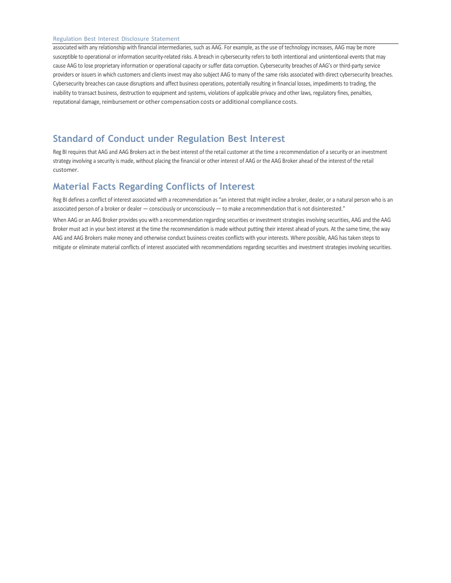#### Regulation Best Interest Disclosure Statement

associated with any relationship with financial intermediaries, such as AAG. For example, as the use of technology increases, AAG may be more susceptible to operational or information security-related risks. A breach in cybersecurity refersto both intentional and unintentional events that may cause AAG to lose proprietary information or operational capacity or suffer data corruption. Cybersecurity breaches of AAG's or third-party service providers or issuers in which customers and clients invest may also subject AAG to many of the same risks associated with direct cybersecurity breaches. Cybersecurity breaches can cause disruptions and affect business operations, potentially resulting in financial losses, impediments to trading, the inability to transact business, destruction to equipment and systems, violations of applicable privacy and other laws, regulatory fines, penalties, reputational damage, reimbursement or other compensation costs or additional compliance costs.

# **Standard of Conduct under Regulation Best Interest**

Reg BI requires that AAG and AAG Brokers act in the best interest of the retail customer at the time a recommendation of a security or an investment strategy involving a security is made, without placing the financial or other interest of AAG or the AAG Broker ahead of the interest of the retail customer.

## **Material Facts Regarding Conflicts of Interest**

Reg BI defines a conflict of interest associated with a recommendation as "an interest that might incline a broker, dealer, or a natural person who is an associated person of a broker or dealer — consciously or unconsciously — to make a recommendation that is not disinterested."

When AAG or an AAG Broker provides you with a recommendation regarding securities or investment strategies involving securities, AAG and the AAG Broker must act in your best interest at the time the recommendation is made without putting their interest ahead of yours. At the same time, the way AAG and AAG Brokers make money and otherwise conduct business creates conflicts with your interests. Where possible, AAG has taken steps to mitigate or eliminate material conflicts of interest associated with recommendations regarding securities and investment strategies involving securities.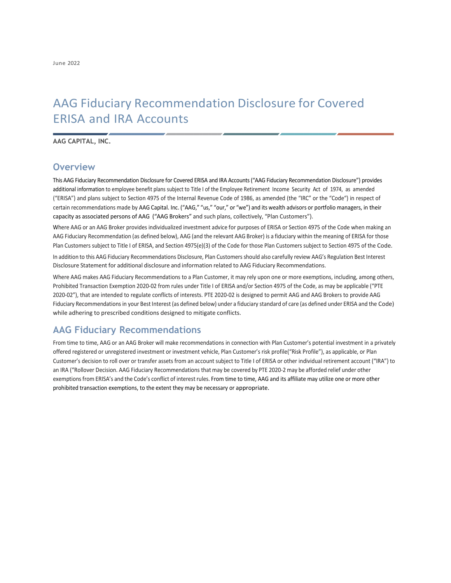# AAG Fiduciary Recommendation Disclosure for Covered ERISA and IRA Accounts

**AAG CAPITAL, INC.**

#### **Overview**

This AAG Fiduciary Recommendation Disclosure for Covered ERISA and IRA Accounts("AAG Fiduciary Recommendation Disclosure") provides additional information to employee benefit plans subject to Title I of the Employee Retirement Income Security Act of 1974, as amended ("ERISA") and plans subject to Section 4975 of the Internal Revenue Code of 1986, as amended (the "IRC" or the "Code") in respect of certain recommendations made by AAG Capital. Inc. ("AAG," "us," "our," or "we") and its wealth advisors or portfolio managers, in their capacity as associated persons of AAG ("AAG Brokers" and such plans, collectively, "Plan Customers").

Where AAG or an AAG Broker provides individualized investment advice for purposes of ERISA or Section 4975 of the Code when making an AAG Fiduciary Recommendation (as defined below), AAG (and the relevant AAG Broker) is a fiduciary within the meaning of ERISA for those Plan Customers subject to Title I of ERISA, and Section 4975(e)(3) of the Code for those Plan Customers subject to Section 4975 of the Code. In addition to this AAG Fiduciary Recommendations Disclosure, Plan Customersshould also carefully review AAG's Regulation Best Interest

Disclosure Statement for additional disclosure and information related to AAG Fiduciary Recommendations.

Where AAG makes AAG Fiduciary Recommendations to a Plan Customer, it may rely upon one or more exemptions, including, among others, Prohibited Transaction Exemption 2020-02 from rules under Title I of ERISA and/or Section 4975 of the Code, as may be applicable ("PTE 2020-02"), that are intended to regulate conflicts of interests. PTE 2020-02 is designed to permit AAG and AAG Brokers to provide AAG Fiduciary Recommendationsin your Best Interest (as defined below) under a fiduciary standard of care (as defined under ERISA and the Code) while adhering to prescribed conditions designed to mitigate conflicts.

## **AAG Fiduciary Recommendations**

From time to time, AAG or an AAG Broker will make recommendations in connection with Plan Customer's potential investment in a privately offered registered or unregistered investment or investment vehicle, Plan Customer's risk profile("Risk Profile"), as applicable, or Plan Customer's decision to roll over or transfer assets from an account subject to Title I of ERISA or other individual retirement account ("IRA") to an IRA ("Rollover Decision. AAG Fiduciary Recommendations that may be covered by PTE 2020-2 may be afforded relief under other exemptionsfrom ERISA's and the Code's conflict of interest rules. From time to time, AAG and its affiliate may utilize one or more other prohibited transaction exemptions, to the extent they may be necessary or appropriate.